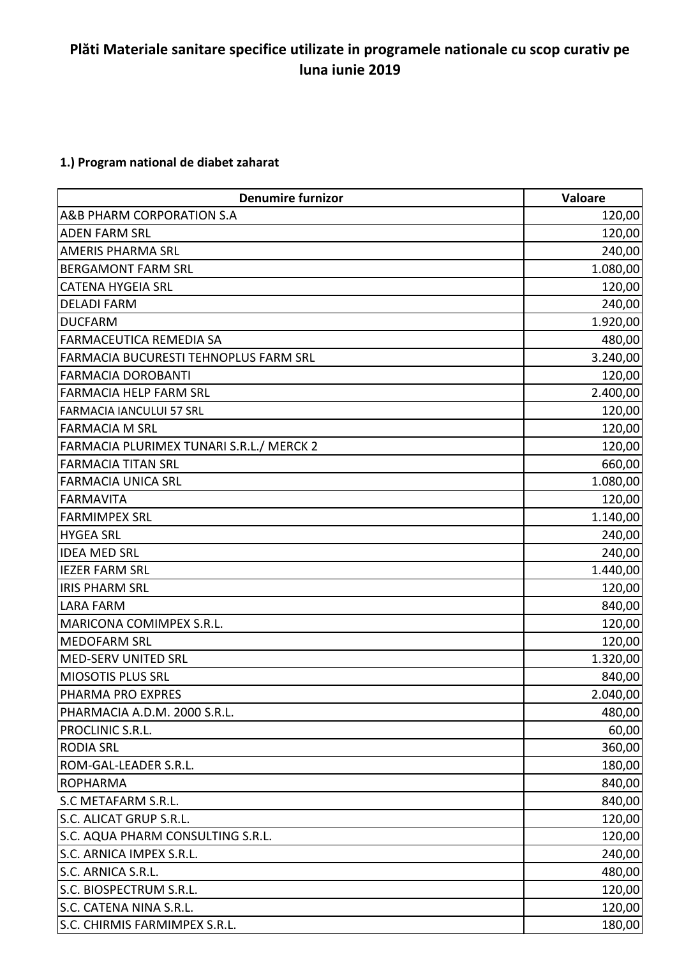## **Plăti Materiale sanitare specifice utilizate in programele nationale cu scop curativ pe luna iunie 2019**

## **1.) Program national de diabet zaharat**

| <b>Denumire furnizor</b>                     | Valoare  |
|----------------------------------------------|----------|
| A&B PHARM CORPORATION S.A                    | 120,00   |
| <b>ADEN FARM SRL</b>                         | 120,00   |
| <b>AMERIS PHARMA SRL</b>                     | 240,00   |
| <b>BERGAMONT FARM SRL</b>                    | 1.080,00 |
| <b>CATENA HYGEIA SRL</b>                     | 120,00   |
| <b>DELADI FARM</b>                           | 240,00   |
| <b>DUCFARM</b>                               | 1.920,00 |
| <b>FARMACEUTICA REMEDIA SA</b>               | 480,00   |
| <b>FARMACIA BUCURESTI TEHNOPLUS FARM SRL</b> | 3.240,00 |
| <b>FARMACIA DOROBANTI</b>                    | 120,00   |
| <b>FARMACIA HELP FARM SRL</b>                | 2.400,00 |
| <b>FARMACIA IANCULUI 57 SRL</b>              | 120,00   |
| <b>FARMACIA M SRL</b>                        | 120,00   |
| FARMACIA PLURIMEX TUNARI S.R.L./ MERCK 2     | 120,00   |
| <b>FARMACIA TITAN SRL</b>                    | 660,00   |
| <b>FARMACIA UNICA SRL</b>                    | 1.080,00 |
| <b>FARMAVITA</b>                             | 120,00   |
| <b>FARMIMPEX SRL</b>                         | 1.140,00 |
| <b>HYGEA SRL</b>                             | 240,00   |
| <b>IDEA MED SRL</b>                          | 240,00   |
| <b>IEZER FARM SRL</b>                        | 1.440,00 |
| <b>IRIS PHARM SRL</b>                        | 120,00   |
| <b>LARA FARM</b>                             | 840,00   |
| MARICONA COMIMPEX S.R.L.                     | 120,00   |
| <b>MEDOFARM SRL</b>                          | 120,00   |
| MED-SERV UNITED SRL                          | 1.320,00 |
| MIOSOTIS PLUS SRL                            | 840,00   |
| PHARMA PRO EXPRES                            | 2.040,00 |
| PHARMACIA A.D.M. 2000 S.R.L.                 | 480,00   |
| PROCLINIC S.R.L.                             | 60,00    |
| <b>RODIA SRL</b>                             | 360,00   |
| ROM-GAL-LEADER S.R.L.                        | 180,00   |
| <b>ROPHARMA</b>                              | 840,00   |
| S.C METAFARM S.R.L.                          | 840,00   |
| S.C. ALICAT GRUP S.R.L.                      | 120,00   |
| S.C. AQUA PHARM CONSULTING S.R.L.            | 120,00   |
| S.C. ARNICA IMPEX S.R.L.                     | 240,00   |
| S.C. ARNICA S.R.L.                           | 480,00   |
| S.C. BIOSPECTRUM S.R.L.                      | 120,00   |
| S.C. CATENA NINA S.R.L.                      | 120,00   |
| S.C. CHIRMIS FARMIMPEX S.R.L.                | 180,00   |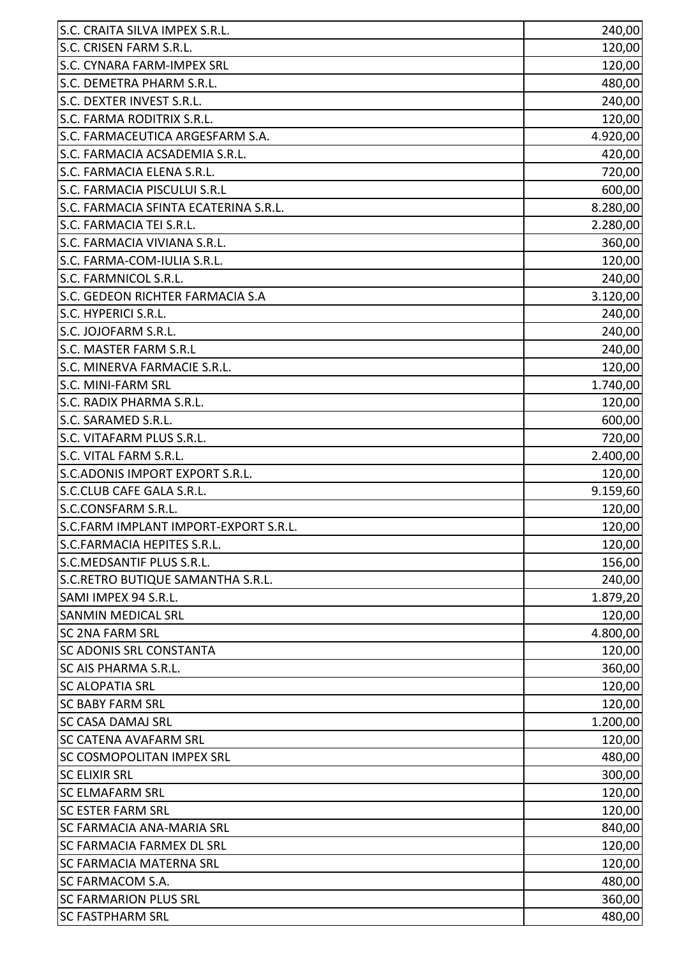| S.C. CRAITA SILVA IMPEX S.R.L.        | 240,00   |
|---------------------------------------|----------|
| S.C. CRISEN FARM S.R.L.               | 120,00   |
| S.C. CYNARA FARM-IMPEX SRL            | 120,00   |
| S.C. DEMETRA PHARM S.R.L.             | 480,00   |
| S.C. DEXTER INVEST S.R.L.             | 240,00   |
| S.C. FARMA RODITRIX S.R.L.            | 120,00   |
| S.C. FARMACEUTICA ARGESFARM S.A.      | 4.920,00 |
| S.C. FARMACIA ACSADEMIA S.R.L.        | 420,00   |
| S.C. FARMACIA ELENA S.R.L.            | 720,00   |
| S.C. FARMACIA PISCULUI S.R.L          | 600,00   |
| S.C. FARMACIA SFINTA ECATERINA S.R.L. | 8.280,00 |
| S.C. FARMACIA TEI S.R.L.              | 2.280,00 |
| S.C. FARMACIA VIVIANA S.R.L.          | 360,00   |
| S.C. FARMA-COM-IULIA S.R.L.           | 120,00   |
| S.C. FARMNICOL S.R.L.                 | 240,00   |
| S.C. GEDEON RICHTER FARMACIA S.A      | 3.120,00 |
| S.C. HYPERICI S.R.L.                  | 240,00   |
| S.C. JOJOFARM S.R.L.                  | 240,00   |
| S.C. MASTER FARM S.R.L                | 240,00   |
| S.C. MINERVA FARMACIE S.R.L.          | 120,00   |
| <b>S.C. MINI-FARM SRL</b>             | 1.740,00 |
| S.C. RADIX PHARMA S.R.L.              | 120,00   |
| S.C. SARAMED S.R.L.                   | 600,00   |
| S.C. VITAFARM PLUS S.R.L.             | 720,00   |
| S.C. VITAL FARM S.R.L.                | 2.400,00 |
| S.C.ADONIS IMPORT EXPORT S.R.L.       | 120,00   |
| <b>S.C.CLUB CAFE GALA S.R.L.</b>      | 9.159,60 |
| S.C.CONSFARM S.R.L.                   | 120,00   |
| S.C.FARM IMPLANT IMPORT-EXPORT S.R.L. | 120,00   |
| S.C.FARMACIA HEPITES S.R.L.           | 120,00   |
| <b>S.C.MEDSANTIF PLUS S.R.L.</b>      | 156,00   |
| S.C.RETRO BUTIQUE SAMANTHA S.R.L.     | 240,00   |
| SAMI IMPEX 94 S.R.L.                  | 1.879,20 |
| <b>SANMIN MEDICAL SRL</b>             | 120,00   |
| <b>SC 2NA FARM SRL</b>                | 4.800,00 |
| <b>SC ADONIS SRL CONSTANTA</b>        | 120,00   |
| <b>SC AIS PHARMA S.R.L.</b>           | 360,00   |
| <b>SC ALOPATIA SRL</b>                | 120,00   |
| <b>SC BABY FARM SRL</b>               | 120,00   |
| <b>SC CASA DAMAJ SRL</b>              | 1.200,00 |
| <b>SC CATENA AVAFARM SRL</b>          | 120,00   |
| <b>SC COSMOPOLITAN IMPEX SRL</b>      | 480,00   |
| <b>SC ELIXIR SRL</b>                  | 300,00   |
| <b>SC ELMAFARM SRL</b>                | 120,00   |
| <b>SC ESTER FARM SRL</b>              | 120,00   |
| ISC FARMACIA ANA-MARIA SRL            | 840,00   |
| <b>SC FARMACIA FARMEX DL SRL</b>      | 120,00   |
| <b>SC FARMACIA MATERNA SRL</b>        | 120,00   |
| <b>SC FARMACOM S.A.</b>               | 480,00   |
| <b>SC FARMARION PLUS SRL</b>          | 360,00   |
| <b>SC FASTPHARM SRL</b>               | 480,00   |